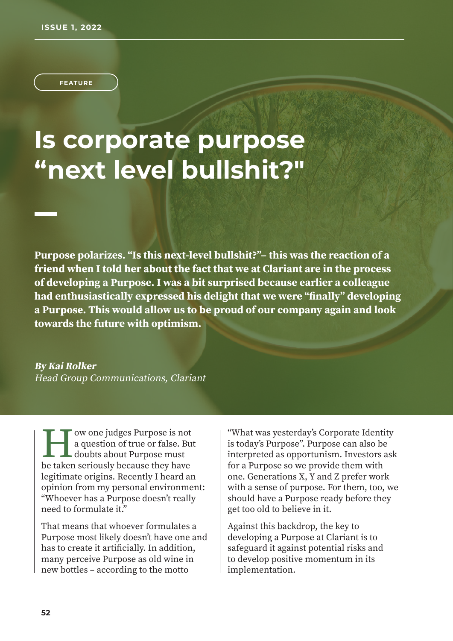**FEATURE**

## **Is corporate purpose "next level bullshit?"**

**Purpose polarizes. "Is this next-level bullshit?"– this was the reaction of a friend when I told her about the fact that we at Clariant are in the process of developing a Purpose. I was a bit surprised because earlier a colleague had enthusiastically expressed his delight that we were "finally" developing a Purpose. This would allow us to be proud of our company again and look towards the future with optimism.**

**By Kai Rolker**  Head Group Communications, Clariant

I w one judges Purpose is not<br>a question of true or false. Bu<br>doubts about Purpose must<br>be taken seriously because they have ow one judges Purpose is not a question of true or false. But doubts about Purpose must legitimate origins. Recently I heard an opinion from my personal environment: "Whoever has a Purpose doesn't really need to formulate it."

That means that whoever formulates a Purpose most likely doesn't have one and has to create it artificially. In addition, many perceive Purpose as old wine in new bottles – according to the motto

"What was yesterday's Corporate Identity is today's Purpose". Purpose can also be interpreted as opportunism. Investors ask for a Purpose so we provide them with one. Generations X, Y and Z prefer work with a sense of purpose. For them, too, we should have a Purpose ready before they get too old to believe in it.

Against this backdrop, the key to developing a Purpose at Clariant is to safeguard it against potential risks and to develop positive momentum in its implementation.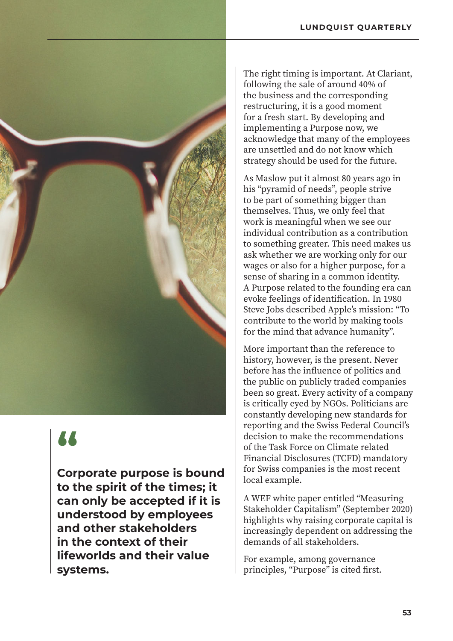

## **"**

**Corporate purpose is bound to the spirit of the times; it can only be accepted if it is understood by employees and other stakeholders in the context of their lifeworlds and their value systems.**

The right timing is important. At Clariant, following the sale of around 40% of the business and the corresponding restructuring, it is a good moment for a fresh start. By developing and implementing a Purpose now, we acknowledge that many of the employees are unsettled and do not know which strategy should be used for the future.

As Maslow put it almost 80 years ago in his "pyramid of needs", people strive to be part of something bigger than themselves. Thus, we only feel that work is meaningful when we see our individual contribution as a contribution to something greater. This need makes us ask whether we are working only for our wages or also for a higher purpose, for a sense of sharing in a common identity. A Purpose related to the founding era can evoke feelings of identification. In 1980 Steve Jobs described Apple's mission: "To contribute to the world by making tools for the mind that advance humanity".

More important than the reference to history, however, is the present. Never before has the influence of politics and the public on publicly traded companies been so great. Every activity of a company is critically eyed by NGOs. Politicians are constantly developing new standards for reporting and the Swiss Federal Council's decision to make the recommendations of the Task Force on Climate related Financial Disclosures (TCFD) mandatory for Swiss companies is the most recent local example.

A WEF white paper entitled "Measuring Stakeholder Capitalism" (September 2020) highlights why raising corporate capital is increasingly dependent on addressing the demands of all stakeholders.

For example, among governance principles, "Purpose" is cited first.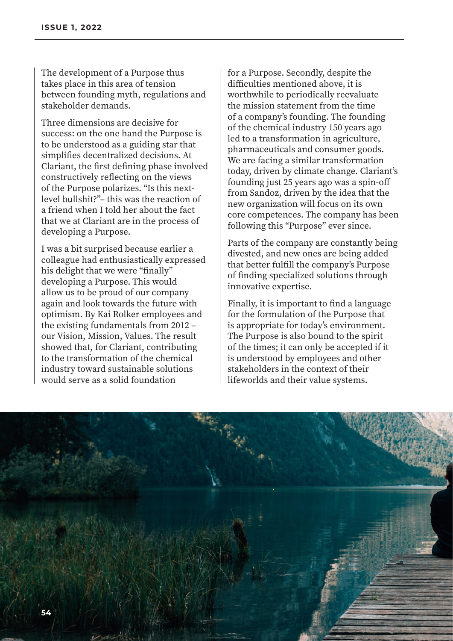The development of a Purpose thus takes place in this area of tension between founding myth, regulations and stakeholder demands.

Three dimensions are decisive for success: on the one hand the Purpose is to be understood as a guiding star that simplifies decentralized decisions. At Clariant, the first defining phase involved constructively reflecting on the views of the Purpose polarizes. "Is this nextlevel bullshit?"– this was the reaction of a friend when I told her about the fact that we at Clariant are in the process of developing a Purpose.

I was a bit surprised because earlier a colleague had enthusiastically expressed his delight that we were "finally" developing a Purpose. This would allow us to be proud of our company again and look towards the future with optimism. By Kai Rolker employees and the existing fundamentals from 2012 – our Vision, Mission, Values. The result showed that, for Clariant, contributing to the transformation of the chemical industry toward sustainable solutions would serve as a solid foundation

for a Purpose. Secondly, despite the difficulties mentioned above, it is worthwhile to periodically reevaluate the mission statement from the time of a company's founding. The founding of the chemical industry 150 years ago led to a transformation in agriculture, pharmaceuticals and consumer goods. We are facing a similar transformation today, driven by climate change. Clariant's founding just 25 years ago was a spin-off from Sandoz, driven by the idea that the new organization will focus on its own core competences. The company has been following this "Purpose" ever since.

Parts of the company are constantly being divested, and new ones are being added that better fulfill the company's Purpose of finding specialized solutions through innovative expertise.

Finally, it is important to find a language for the formulation of the Purpose that is appropriate for today's environment. The Purpose is also bound to the spirit of the times; it can only be accepted if it is understood by employees and other stakeholders in the context of their lifeworlds and their value systems.